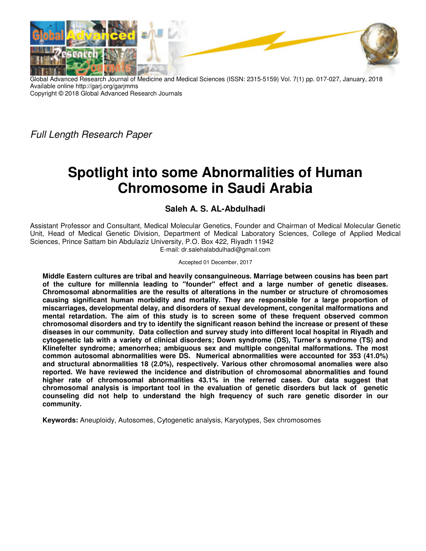

Global Advanced Research Journal of Medicine and Medical Sciences (ISSN: 2315-5159) Vol. 7(1) pp. 017-027, January, 2018 Available online http://garj.org/garjmms Copyright © 2018 Global Advanced Research Journals

Full Length Research Paper

# **Spotlight into some Abnormalities of Human Chromosome in Saudi Arabia**

## **Saleh A. S. AL-Abdulhadi**

Assistant Professor and Consultant, Medical Molecular Genetics, Founder and Chairman of Medical Molecular Genetic Unit, Head of Medical Genetic Division, Department of Medical Laboratory Sciences, College of Applied Medical Sciences, Prince Sattam bin Abdulaziz University, P.O. Box 422, Riyadh 11942 E-mail: dr.salehalabdulhadi@gmail.com

Accepted 01 December, 2017

**Middle Eastern cultures are tribal and heavily consanguineous. Marriage between cousins has been part of the culture for millennia leading to "founder" effect and a large number of genetic diseases. Chromosomal abnormalities are the results of alterations in the number or structure of chromosomes causing significant human morbidity and mortality. They are responsible for a large proportion of miscarriages, developmental delay, and disorders of sexual development, congenital malformations and mental retardation. The aim of this study is to screen some of these frequent observed common chromosomal disorders and try to identify the significant reason behind the increase or present of these diseases in our community. Data collection and survey study into different local hospital in Riyadh and cytogenetic lab with a variety of clinical disorders; Down syndrome (DS), Turner's syndrome (TS) and Klinefelter syndrome; amenorrhea; ambiguous sex and multiple congenital malformations. The most common autosomal abnormalities were DS. Numerical abnormalities were accounted for 353 (41.0%) and structural abnormalities 18 (2.0%), respectively. Various other chromosomal anomalies were also reported. We have reviewed the incidence and distribution of chromosomal abnormalities and found higher rate of chromosomal abnormalities 43.1% in the referred cases. Our data suggest that chromosomal analysis is important tool in the evaluation of genetic disorders but lack of genetic counseling did not help to understand the high frequency of such rare genetic disorder in our community.** 

**Keywords:** Aneuploidy, Autosomes, Cytogenetic analysis, Karyotypes, Sex chromosomes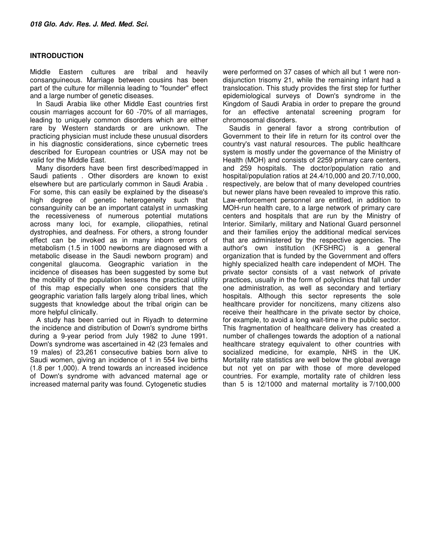#### **INTRODUCTION**

Middle Eastern cultures are tribal and heavily consanguineous. Marriage between cousins has been part of the culture for millennia leading to "founder" effect and a large number of genetic diseases.

In Saudi Arabia like other Middle East countries first cousin marriages account for 60 -70% of all marriages, leading to uniquely common disorders which are either rare by Western standards or are unknown. The practicing physician must include these unusual disorders in his diagnostic considerations, since cybernetic trees described for European countries or USA may not be valid for the Middle East.

Many disorders have been first described/mapped in Saudi patients . Other disorders are known to exist elsewhere but are particularly common in Saudi Arabia . For some, this can easily be explained by the disease's high degree of genetic heterogeneity such that consanguinity can be an important catalyst in unmasking the recessiveness of numerous potential mutations across many loci, for example, ciliopathies, retinal dystrophies, and deafness. For others, a strong founder effect can be invoked as in many inborn errors of metabolism (1.5 in 1000 newborns are diagnosed with a metabolic disease in the Saudi newborn program) and congenital glaucoma. Geographic variation in the incidence of diseases has been suggested by some but the mobility of the population lessens the practical utility of this map especially when one considers that the geographic variation falls largely along tribal lines, which suggests that knowledge about the tribal origin can be more helpful clinically.

A study has been carried out in Riyadh to determine the incidence and distribution of Down's syndrome births during a 9-year period from July 1982 to June 1991. Down's syndrome was ascertained in 42 (23 females and 19 males) of 23,261 consecutive babies born alive to Saudi women, giving an incidence of 1 in 554 live births (1.8 per 1,000). A trend towards an increased incidence of Down's syndrome with advanced maternal age or increased maternal parity was found. Cytogenetic studies

were performed on 37 cases of which all but 1 were nondisjunction trisomy 21, while the remaining infant had a translocation. This study provides the first step for further epidemiological surveys of Down's syndrome in the Kingdom of Saudi Arabia in order to prepare the ground for an effective antenatal screening program for chromosomal disorders.

Saudis in general favor a strong contribution of Government to their life in return for its control over the country's vast natural resources. The public healthcare system is mostly under the governance of the Ministry of Health (MOH) and consists of 2259 primary care centers, and 259 hospitals. The doctor/population ratio and hospital/population ratios at 24.4/10,000 and 20.7/10,000, respectively, are below that of many developed countries but newer plans have been revealed to improve this ratio. Law-enforcement personnel are entitled, in addition to MOH-run health care, to a large network of primary care centers and hospitals that are run by the Ministry of Interior. Similarly, military and National Guard personnel and their families enjoy the additional medical services that are administered by the respective agencies. The author's own institution (KFSHRC) is a general organization that is funded by the Government and offers highly specialized health care independent of MOH. The private sector consists of a vast network of private practices, usually in the form of polyclinics that fall under one administration, as well as secondary and tertiary hospitals. Although this sector represents the sole healthcare provider for noncitizens, many citizens also receive their healthcare in the private sector by choice, for example, to avoid a long wait-time in the public sector. This fragmentation of healthcare delivery has created a number of challenges towards the adoption of a national healthcare strategy equivalent to other countries with socialized medicine, for example, NHS in the UK. Mortality rate statistics are well below the global average but not yet on par with those of more developed countries. For example, mortality rate of children less than 5 is 12/1000 and maternal mortality is 7/100,000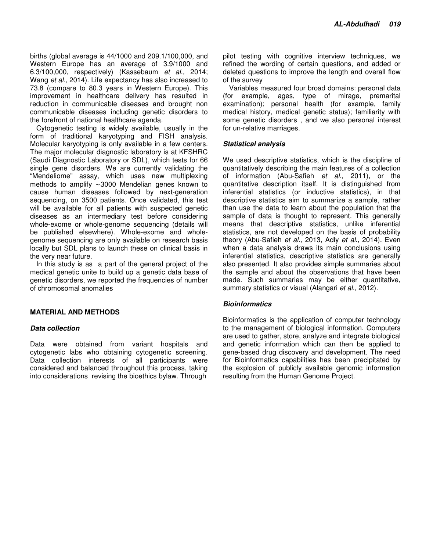births (global average is 44/1000 and 209.1/100,000, and Western Europe has an average of 3.9/1000 and 6.3/100,000, respectively) (Kassebaum et al., 2014; Wang et al., 2014). Life expectancy has also increased to 73.8 (compare to 80.3 years in Western Europe). This improvement in healthcare delivery has resulted in reduction in communicable diseases and brought non communicable diseases including genetic disorders to the forefront of national healthcare agenda.

Cytogenetic testing is widely available, usually in the form of traditional karyotyping and FISH analysis. Molecular karyotyping is only available in a few centers. The major molecular diagnostic laboratory is at KFSHRC (Saudi Diagnostic Laboratory or SDL), which tests for 66 single gene disorders. We are currently validating the "Mendeliome" assay, which uses new multiplexing methods to amplify ∼3000 Mendelian genes known to cause human diseases followed by next-generation sequencing, on 3500 patients. Once validated, this test will be available for all patients with suspected genetic diseases as an intermediary test before considering whole-exome or whole-genome sequencing (details will be published elsewhere). Whole-exome and wholegenome sequencing are only available on research basis locally but SDL plans to launch these on clinical basis in the very near future.

In this study is as a part of the general project of the medical genetic unite to build up a genetic data base of genetic disorders, we reported the frequencies of number of chromosomal anomalies

#### **MATERIAL AND METHODS**

#### **Data collection**

Data were obtained from variant hospitals and cytogenetic labs who obtaining cytogenetic screening. Data collection interests of all participants were considered and balanced throughout this process, taking into considerations revising the bioethics bylaw. Through

pilot testing with cognitive interview techniques, we refined the wording of certain questions, and added or deleted questions to improve the length and overall flow of the survey

Variables measured four broad domains: personal data (for example, ages, type of mirage, premarital examination); personal health (for example, family medical history, medical genetic status); familiarity with some genetic disorders , and we also personal interest for un-relative marriages.

#### **Statistical analysis**

We used descriptive statistics, which is the discipline of quantitatively describing the main features of a collection of information (Abu-Safieh et al., 2011), or the quantitative description itself. It is distinguished from inferential statistics (or inductive statistics), in that descriptive statistics aim to summarize a sample, rather than use the data to learn about the population that the sample of data is thought to represent. This generally means that descriptive statistics, unlike inferential statistics, are not developed on the basis of probability theory (Abu-Safieh et al., 2013, Adly et al., 2014). Even when a data analysis draws its main conclusions using inferential statistics, descriptive statistics are generally also presented. It also provides simple summaries about the sample and about the observations that have been made. Such summaries may be either quantitative, summary statistics or visual (Alangari et al., 2012).

#### **Bioinformatics**

Bioinformatics is the application of computer technology to the management of biological information. Computers are used to gather, store, analyze and integrate biological and genetic information which can then be applied to gene-based drug discovery and development. The need for Bioinformatics capabilities has been precipitated by the explosion of publicly available genomic information resulting from the Human Genome Project.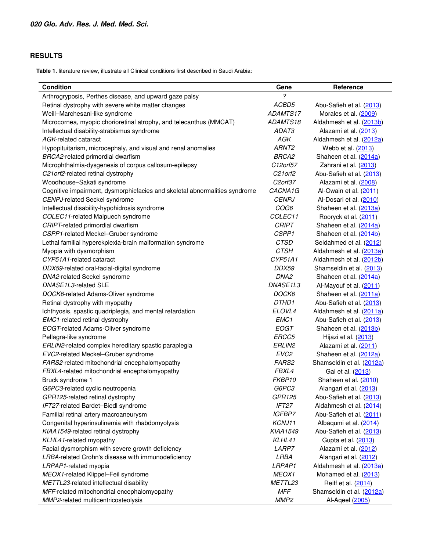### **RESULTS**

**Table 1.** literature review, illustrate all Clinical conditions first described in Saudi Arabia:

| <b>Condition</b>                                                           | Gene                              | Reference                 |  |  |
|----------------------------------------------------------------------------|-----------------------------------|---------------------------|--|--|
| Arthrogryposis, Perthes disease, and upward gaze palsy                     | ?                                 |                           |  |  |
| Retinal dystrophy with severe white matter changes                         | ACBD5                             | Abu-Safieh et al. (2013)  |  |  |
| Weill-Marchesani-like syndrome                                             | ADAMTS17                          | Morales et al. (2009)     |  |  |
| Microcornea, myopic chorioretinal atrophy, and telecanthus (MMCAT)         | ADAMTS18                          | Aldahmesh et al. (2013b)  |  |  |
| Intellectual disability-strabismus syndrome                                | ADAT3                             | Alazami et al. (2013)     |  |  |
| AGK-related cataract                                                       | AGK                               | Aldahmesh et al. (2012a)  |  |  |
| Hypopituitarism, microcephaly, and visual and renal anomalies              | ARNT <sub>2</sub>                 | Webb et al. (2013)        |  |  |
| BRCA2-related primordial dwarfism                                          | <b>BRCA2</b>                      | Shaheen et al. (2014a)    |  |  |
| Microphthalmia-dysgenesis of corpus callosum-epilepsy                      | C12orf57                          | Zahrani et al. (2013)     |  |  |
| C21 orf2-related retinal dystrophy                                         | C <sub>21</sub> orf <sub>2</sub>  | Abu-Safieh et al. (2013)  |  |  |
| Woodhouse-Sakati syndrome                                                  | C <sub>2</sub> orf37              | Alazami et al. (2008)     |  |  |
| Cognitive impairment, dysmorphicfacies and skeletal abnormalities syndrome | CACNA1G<br>Al-Owain et al. (2011) |                           |  |  |
| CENPJ-related Seckel syndrome                                              | <b>CENPJ</b>                      | Al-Dosari et al. (2010)   |  |  |
| Intellectual disability-hypohidrosis syndrome                              | COG6<br>Shaheen et al. (2013a)    |                           |  |  |
| COLEC11-related Malpuech syndrome                                          | COLEC11                           | Rooryck et al. (2011)     |  |  |
| CRIPT-related primordial dwarfism                                          | <b>CRIPT</b>                      | Shaheen et al. (2014a)    |  |  |
| CSPP1-related Meckel-Gruber syndrome                                       | CSPP1                             | Shaheen et al. (2014b)    |  |  |
| Lethal familial hyperekplexia-brain malformation syndrome                  | <b>CTSD</b>                       | Seidahmed et al. (2012)   |  |  |
| Myopia with dysmorphism                                                    | <b>CTSH</b>                       | Aldahmesh et al. (2013a)  |  |  |
| CYP51A1-related cataract                                                   | CYP51A1                           | Aldahmesh et al. (2012b)  |  |  |
| DDX59-related oral-facial-digital syndrome                                 | DDX59                             | Shamseldin et al. (2013)  |  |  |
| DNA2-related Seckel syndrome                                               | DNA <sub>2</sub>                  | Shaheen et al. (2014a)    |  |  |
| DNASE1L3-related SLE                                                       | DNASE1L3                          | Al-Mayouf et al. (2011)   |  |  |
| DOCK6-related Adams-Oliver syndrome                                        | DOCK6                             | Shaheen et al. (2011a)    |  |  |
| Retinal dystrophy with myopathy                                            | DTHD1                             | Abu-Safieh et al. (2013)  |  |  |
| Ichthyosis, spastic quadriplegia, and mental retardation                   | ELOVL4                            | Aldahmesh et al. (2011a)  |  |  |
| <b>EMC1-related retinal dystrophy</b>                                      | EMC1                              | Abu-Safieh et al. (2013)  |  |  |
| EOGT-related Adams-Oliver syndrome                                         | <b>EOGT</b>                       | Shaheen et al. (2013b)    |  |  |
| Pellagra-like syndrome                                                     | ERCC5                             | Hijazi et al. (2013)      |  |  |
| ERLIN2-related complex hereditary spastic paraplegia                       | ERLIN2                            | Alazami et al. (2011)     |  |  |
| EVC2-related Meckel-Gruber syndrome                                        | EVC <sub>2</sub>                  | Shaheen et al. (2012a)    |  |  |
| FARS2-related mitochondrial encephalomyopathy                              | FARS2                             | Shamseldin et al. (2012a) |  |  |
| FBXL4-related mitochondrial encephalomyopathy                              | FBXL4                             | Gai et al. (2013)         |  |  |
| Bruck syndrome 1                                                           | FKBP10                            | Shaheen et al. (2010)     |  |  |
| G6PC3-related cyclic neutropenia                                           | G6PC3                             | Alangari et al. (2013)    |  |  |
| GPR125-related retinal dystrophy                                           | GPR125                            | Abu-Safieh et al. (2013)  |  |  |
| IFT27-related Bardet-Biedl syndrome                                        | IFT27                             | Aldahmesh et al. (2014)   |  |  |
| Familial retinal artery macroaneurysm                                      | <b>IGFBP7</b>                     | Abu-Safieh et al. (2011)  |  |  |
| Congenital hyperinsulinemia with rhabdomyolysis                            | KCNJ11                            | Albaqumi et al. (2014)    |  |  |
| KIAA1549-related retinal dystrophy                                         | <b>KIAA1549</b>                   | Abu-Safieh et al. (2013)  |  |  |
| KLHL41-related myopathy                                                    | KLHL41                            | Gupta et al. (2013)       |  |  |
| Facial dysmorphism with severe growth deficiency                           | LARP7                             | Alazami et al. (2012)     |  |  |
| LRBA-related Crohn's disease with immunodeficiency                         | LRBA                              | Alangari et al. (2012)    |  |  |
| LRPAP1-related myopia                                                      | LRPAP1                            | Aldahmesh et al. (2013a)  |  |  |
| MEOX1-related Klippel-Feil syndrome                                        | MEOX1                             | Mohamed et al. (2013)     |  |  |
| METTL23-related intellectual disability                                    | METTL23                           | Reiff et al. (2014)       |  |  |
| MFF-related mitochondrial encephalomyopathy                                | <b>MFF</b>                        | Shamseldin et al. (2012a) |  |  |
| MMP2-related multicentricosteolysis                                        | MMP <sub>2</sub>                  | Al-Aqeel (2005)           |  |  |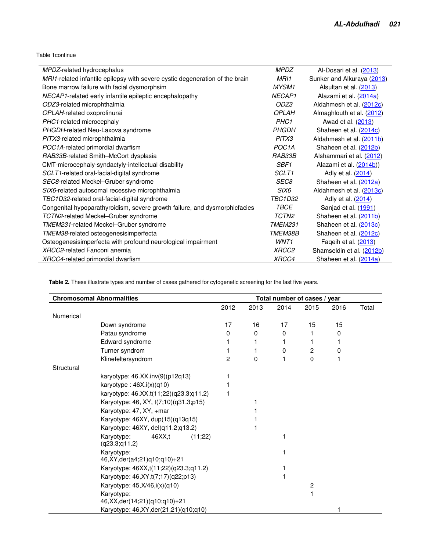Table 1continue

| MPDZ-related hydrocephalus                                                   | <b>MPDZ</b>        | Al-Dosari et al. (2013)    |  |  |
|------------------------------------------------------------------------------|--------------------|----------------------------|--|--|
| MRI1-related infantile epilepsy with severe cystic degeneration of the brain | MRI1               | Sunker and Alkuraya (2013) |  |  |
| Bone marrow failure with facial dysmorphsim                                  | <b>MYSM1</b>       | Alsultan et al. (2013)     |  |  |
| NECAP1-related early infantile epileptic encephalopathy                      | NECAP <sub>1</sub> | Alazami et al. (2014a)     |  |  |
| ODZ3-related microphthalmia                                                  | ODZ3               | Aldahmesh et al. (2012c)   |  |  |
| OPLAH-related oxoprolinurai                                                  | <b>OPI AH</b>      | Almaghlouth et al. (2012)  |  |  |
| PHC1-related microcephaly                                                    | PHC <sub>1</sub>   | Awad et al. (2013)         |  |  |
| PHGDH-related Neu-Laxova syndrome                                            | <b>PHGDH</b>       | Shaheen et al. (2014c)     |  |  |
| PITX3-related microphthalmia                                                 | PITX3              | Aldahmesh et al. (2011b)   |  |  |
| POC1A-related primordial dwarfism                                            | POC <sub>1</sub> A | Shaheen et al. (2012b)     |  |  |
| RAB33B-related Smith-McCort dysplasia                                        | RAB33B             | Alshammari et al. (2012)   |  |  |
| CMT-microcephaly-syndactyly-intellectual disability                          | SBF <sub>1</sub>   | Alazami et al. (2014b))    |  |  |
| SCLT1-related oral-facial-digital syndrome                                   | SCLT1              | Adly et al. (2014)         |  |  |
| SEC8-related Meckel-Gruber syndrome                                          | SEC8               | Shaheen et al. (2012a)     |  |  |
| SIX6-related autosomal recessive microphthalmia                              | <i>SIX6</i>        | Aldahmesh et al. (2013c)   |  |  |
| TBC1D32-related oral-facial-digital syndrome                                 | <b>TBC1D32</b>     | Adly et al. (2014)         |  |  |
| Congenital hypoparathyroidism, severe growth failure, and dysmorphicfacies   | <b>TBCE</b>        | Sanjad et al. (1991)       |  |  |
| TCTN2-related Meckel-Gruber syndrome                                         | TCTN2              | Shaheen et al. (2011b)     |  |  |
| TMEM231-related Meckel-Gruber syndrome                                       | <b>TMEM231</b>     | Shaheen et al. (2013c)     |  |  |
| TMEM38-related osteogenesisimperfecta                                        | TMEM38B            | Shaheen et al. (2012c)     |  |  |
| Osteogenesisimperfecta with profound neurological impairment                 | WNT1               | Faqeih et al. (2013)       |  |  |
| XRCC2-related Fanconi anemia                                                 | <i>XRCC2</i>       | Shamseldin et al. (2012b)  |  |  |
| XRCC4-related primordial dwarfism                                            | XRCC4              | Shaheen et al. (2014a)     |  |  |

**Table 2.** These illustrate types and number of cases gathered for cytogenetic screening for the last five years.

|                  | <b>Chromosomal Abnormalities</b><br>Total number of cases / year |                |      |      |          |      |       |
|------------------|------------------------------------------------------------------|----------------|------|------|----------|------|-------|
|                  |                                                                  | 2012           | 2013 | 2014 | 2015     | 2016 | Total |
| <b>Numerical</b> |                                                                  |                |      |      |          |      |       |
|                  | Down syndrome                                                    | 17             | 16   | 17   | 15       | 15   |       |
|                  | Patau syndrome                                                   | 0              | 0    | 0    | 1        | 0    |       |
|                  | Edward syndrome                                                  |                |      |      |          |      |       |
|                  | Turner syndrom                                                   |                | 1    | 0    | 2        | 0    |       |
|                  | Klinefeltersyndrom                                               | $\overline{c}$ | 0    |      | $\Omega$ |      |       |
| Structural       |                                                                  |                |      |      |          |      |       |
|                  | karyotype: 46.XX.inv(9)(p12q13)                                  |                |      |      |          |      |       |
|                  | karyotype: $46X.i(x)(q10)$                                       |                |      |      |          |      |       |
|                  | karyotype: 46.XX.t(11;22)(q23.3;q11.2)                           |                |      |      |          |      |       |
|                  | Karyotype: 46, XY, t(7;10)(q31.3;p15)                            |                |      |      |          |      |       |
|                  | Karyotype: 47, XY, +mar                                          |                |      |      |          |      |       |
|                  | Karyotype: 46XY, dup(15)(q13q15)                                 |                |      |      |          |      |       |
|                  | Karyotype: 46XY, del(q11.2;q13.2)                                |                |      |      |          |      |       |
|                  | 46XX, t<br>Karyotype:<br>(11;22)<br>(q23.3; q11.2)               |                |      |      |          |      |       |
|                  | Karyotype:<br>46, XY, der(a4; 21) q 10; q 10) + 21               |                |      |      |          |      |       |
|                  | Karyotype: 46XX,t(11;22)(q23.3;q11.2)                            |                |      |      |          |      |       |
|                  | Karyotype: 46, XY, t(7; 17) (q22; p13)                           |                |      |      |          |      |       |
|                  | Karyotype: 45, X/46, i(x)(q10)                                   |                |      |      | 2        |      |       |
|                  | Karyotype:                                                       |                |      |      |          |      |       |
|                  | 46, XX, der(14; 21)(q10; q10) + 21                               |                |      |      |          |      |       |
|                  | Karyotype: 46, XY, der(21, 21) (q10; q10)                        |                |      |      |          |      |       |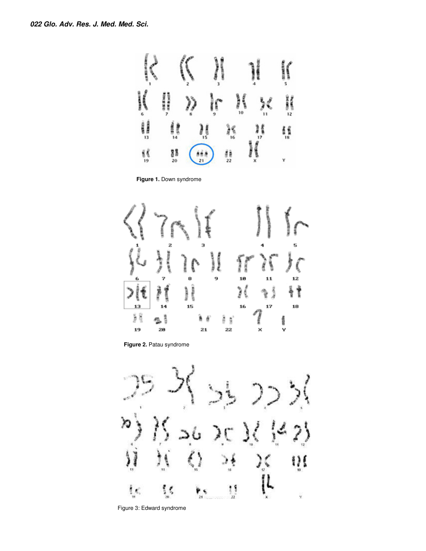

**Figure 1.** Down syndrome



**Figure 2.** Patau syndrome



Figure 3: Edward syndrome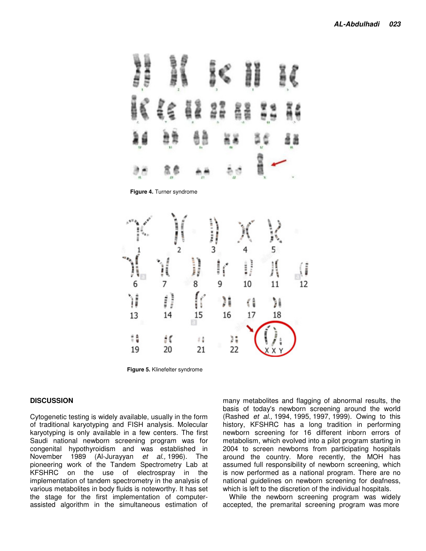

**Figure 5.** Klinefelter syndrome

#### **DISCUSSION**

Cytogenetic testing is widely available, usually in the form of traditional karyotyping and FISH analysis. Molecular karyotyping is only available in a few centers. The first Saudi national newborn screening program was for congenital hypothyroidism and was established in November 1989 (Al-Jurayyan et al., 1996). The pioneering work of the Tandem Spectrometry Lab at KFSHRC on the use of electrospray in the implementation of tandem spectrometry in the analysis of various metabolites in body fluids is noteworthy. It has set the stage for the first implementation of computerassisted algorithm in the simultaneous estimation of

many metabolites and flagging of abnormal results, the basis of today's newborn screening around the world (Rashed et al., 1994, 1995, 1997, 1999). Owing to this history, KFSHRC has a long tradition in performing newborn screening for 16 different inborn errors of metabolism, which evolved into a pilot program starting in 2004 to screen newborns from participating hospitals around the country. More recently, the MOH has assumed full responsibility of newborn screening, which is now performed as a national program. There are no national guidelines on newborn screening for deafness, which is left to the discretion of the individual hospitals.

While the newborn screening program was widely accepted, the premarital screening program was more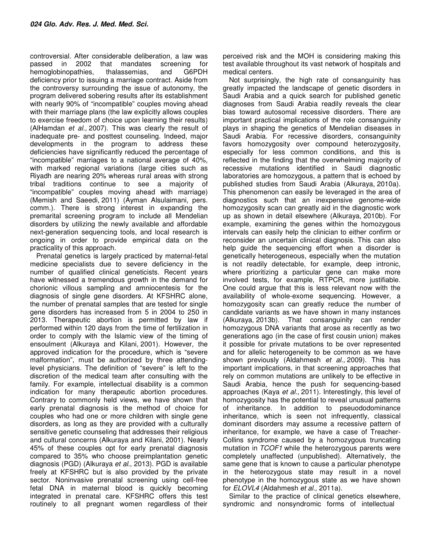controversial. After considerable deliberation, a law was passed in 2002 that mandates screening for hemoglobinopathies, thalassemias, and G6PDH deficiency prior to issuing a marriage contract. Aside from the controversy surrounding the issue of autonomy, the program delivered sobering results after its establishment with nearly 90% of "incompatible" couples moving ahead with their marriage plans (the law explicitly allows couples to exercise freedom of choice upon learning their results) (AlHamdan et al., 2007). This was clearly the result of inadequate pre- and posttest counseling. Indeed, major developments in the program to address these deficiencies have significantly reduced the percentage of "incompatible" marriages to a national average of 40%, with marked regional variations (large cities such as Riyadh are nearing 20% whereas rural areas with strong tribal traditions continue to see a majority of "incompatible" couples moving ahead with marriage) (Memish and Saeedi, 2011) (Ayman Alsulaimani, pers. comm.). There is strong interest in expanding the premarital screening program to include all Mendelian disorders by utilizing the newly available and affordable next-generation sequencing tools, and local research is ongoing in order to provide empirical data on the practicality of this approach.

Prenatal genetics is largely practiced by maternal-fetal medicine specialists due to severe deficiency in the number of qualified clinical geneticists. Recent years have witnessed a tremendous growth in the demand for chorionic villous sampling and amniocentesis for the diagnosis of single gene disorders. At KFSHRC alone, the number of prenatal samples that are tested for single gene disorders has increased from 5 in 2004 to 250 in 2013. Therapeutic abortion is permitted by law if performed within 120 days from the time of fertilization in order to comply with the Islamic view of the timing of ensoulment (Alkuraya and Kilani, 2001). However, the approved indication for the procedure, which is "severe malformation", must be authorized by three attendinglevel physicians. The definition of "severe" is left to the discretion of the medical team after consulting with the family. For example, intellectual disability is a common indication for many therapeutic abortion procedures. Contrary to commonly held views, we have shown that early prenatal diagnosis is the method of choice for couples who had one or more children with single gene disorders, as long as they are provided with a culturally sensitive genetic counseling that addresses their religious and cultural concerns (Alkuraya and Kilani, 2001). Nearly 45% of these couples opt for early prenatal diagnosis compared to 35% who choose preimplantation genetic diagnosis (PGD) (Alkuraya et al., 2013). PGD is available freely at KFSHRC but is also provided by the private sector. Noninvasive prenatal screening using cell-free fetal DNA in maternal blood is quickly becoming integrated in prenatal care. KFSHRC offers this test routinely to all pregnant women regardless of their

perceived risk and the MOH is considering making this test available throughout its vast network of hospitals and medical centers.

Not surprisingly, the high rate of consanguinity has greatly impacted the landscape of genetic disorders in Saudi Arabia and a quick search for published genetic diagnoses from Saudi Arabia readily reveals the clear bias toward autosomal recessive disorders. There are important practical implications of the role consanguinity plays in shaping the genetics of Mendelian diseases in Saudi Arabia. For recessive disorders, consanguinity favors homozygosity over compound heterozygosity, especially for less common conditions, and this is reflected in the finding that the overwhelming majority of recessive mutations identified in Saudi diagnostic laboratories are homozygous, a pattern that is echoed by published studies from Saudi Arabia (Alkuraya, 2010a). This phenomenon can easily be leveraged in the area of diagnostics such that an inexpensive genome-wide homozygosity scan can greatly aid in the diagnostic work up as shown in detail elsewhere (Alkuraya, 2010b). For example, examining the genes within the homozygous intervals can easily help the clinician to either confirm or reconsider an uncertain clinical diagnosis. This can also help guide the sequencing effort when a disorder is genetically heterogeneous, especially when the mutation is not readily detectable, for example, deep intronic, where prioritizing a particular gene can make more involved tests, for example, RTPCR, more justifiable. One could argue that this is less relevant now with the availability of whole-exome sequencing. However, a homozygosity scan can greatly reduce the number of candidate variants as we have shown in many instances (Alkuraya, 2013b). That consanguinity can render homozygous DNA variants that arose as recently as two generations ago (in the case of first cousin union) makes it possible for private mutations to be over represented and for allelic heterogeneity to be common as we have shown previously (Aldahmesh et al., 2009). This has important implications, in that screening approaches that rely on common mutations are unlikely to be effective in Saudi Arabia, hence the push for sequencing-based approaches (Kaya et al., 2011). Interestingly, this level of homozygosity has the potential to reveal unusual patterns of inheritance. In addition to pseuododominance inheritance, which is seen not infrequently, classical dominant disorders may assume a recessive pattern of inheritance, for example, we have a case of Treacher-Collins syndrome caused by a homozygous truncating mutation in TCOF1 while the heterozygous parents were completely unaffected (unpublished). Alternatively, the same gene that is known to cause a particular phenotype in the heterozygous state may result in a novel phenotype in the homozygous state as we have shown for ELOVL4 (Aldahmesh et al., 2011a).

Similar to the practice of clinical genetics elsewhere, syndromic and nonsyndromic forms of intellectual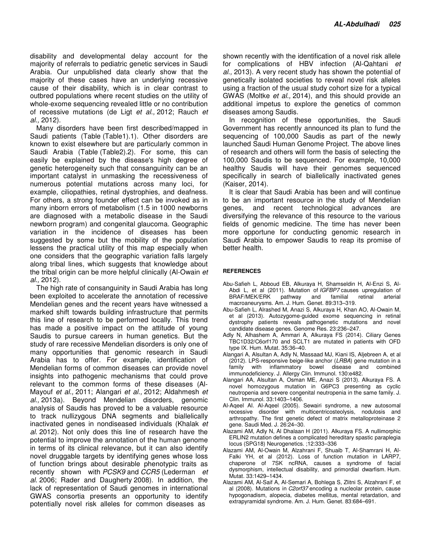disability and developmental delay account for the majority of referrals to pediatric genetic services in Saudi Arabia. Our unpublished data clearly show that the majority of these cases have an underlying recessive cause of their disability, which is in clear contrast to outbred populations where recent studies on the utility of whole-exome sequencing revealed little or no contribution of recessive mutations (de Ligt et al., 2012; Rauch et al., 2012).

Many disorders have been first described/mapped in Saudi patients (Table (Table1).1). Other disorders are known to exist elsewhere but are particularly common in Saudi Arabia (Table (Table2).2). For some, this can easily be explained by the disease's high degree of genetic heterogeneity such that consanguinity can be an important catalyst in unmasking the recessiveness of numerous potential mutations across many loci, for example, ciliopathies, retinal dystrophies, and deafness. For others, a strong founder effect can be invoked as in many inborn errors of metabolism (1.5 in 1000 newborns are diagnosed with a metabolic disease in the Saudi newborn program) and congenital glaucoma. Geographic variation in the incidence of diseases has been suggested by some but the mobility of the population lessens the practical utility of this map especially when one considers that the geographic variation falls largely along tribal lines, which suggests that knowledge about the tribal origin can be more helpful clinically (Al-Owain et al., 2012).

The high rate of consanguinity in Saudi Arabia has long been exploited to accelerate the annotation of recessive Mendelian genes and the recent years have witnessed a marked shift towards building infrastructure that permits this line of research to be performed locally. This trend has made a positive impact on the attitude of young Saudis to pursue careers in human genetics. But the study of rare recessive Mendelian disorders is only one of many opportunities that genomic research in Saudi Arabia has to offer. For example, identification of Mendelian forms of common diseases can provide novel insights into pathogenic mechanisms that could prove relevant to the common forms of these diseases (Al-Mayouf et al., 2011; Alangari et al., 2012; Aldahmesh et al., 2013a). Beyond Mendelian disorders, genomic analysis of Saudis has proved to be a valuable resource to track nullizygous DNA segments and biallelically inactivated genes in nondiseased individuals (Khalak et al. 2012). Not only does this line of research have the potential to improve the annotation of the human genome in terms of its clinical relevance, but it can also identify novel druggable targets by identifying genes whose loss of function brings about desirable phenotypic traits as recently shown with PCSK9 and CCR5 (Lederman et al. 2006; Rader and Daugherty 2008). In addition, the lack of representation of Saudi genomes in international GWAS consortia presents an opportunity to identify potentially novel risk alleles for common diseases as

shown recently with the identification of a novel risk allele for complications of HBV infection (Al-Qahtani et al., 2013). A very recent study has shown the potential of genetically isolated societies to reveal novel risk alleles using a fraction of the usual study cohort size for a typical GWAS (Moltke et al., 2014), and this should provide an additional impetus to explore the genetics of common diseases among Saudis.

In recognition of these opportunities, the Saudi Government has recently announced its plan to fund the sequencing of 100,000 Saudis as part of the newly launched Saudi Human Genome Project. The above lines of research and others will form the basis of selecting the 100,000 Saudis to be sequenced. For example, 10,000 healthy Saudis will have their genomes sequenced specifically in search of biallelically inactivated genes (Kaiser, 2014).

It is clear that Saudi Arabia has been and will continue to be an important resource in the study of Mendelian genes, and recent technological advances are diversifying the relevance of this resource to the various fields of genomic medicine. The time has never been more opportune for conducting genomic research in Saudi Arabia to empower Saudis to reap its promise of better health.

#### **REFERENCES**

- Abu-Safieh L, Abboud EB, Alkuraya H, Shamseldin H, Al-Enzi S, Al-Abdi L, et al (2011). Mutation of *IGFBP7* causes upregulation of BRAF/MEK/ERK pathway and familial retinal arterial macroaneurysms. Am. J. Hum. Genet. 89:313–319.
- Abu-Safieh L, Alrashed M, Anazi S, Alkuraya H, Khan AO, Al-Owain M, et al (2013). Autozygome-guided exome sequencing in retinal dystrophy patients reveals pathogenetic mutations and novel candidate disease genes. Genome Res. 23:236–247.
- Adly N, Alhashem A, Ammari A, Alkuraya FS (2014). Ciliary Genes TBC1D32/C6orf170 and SCLT1 are mutated in patients with OFD type IX. Hum. Mutat. 35:36–40.
- Alangari A, Alsultan A, Adly N, Massaad MJ, Kiani IS, Aljebreen A, et al (2012). LPS-responsive beige-like anchor (LRBA) gene mutation in a family with inflammatory bowel disease and combined immunodeficiency. J. Allergy Clin. Immunol. 130:e482.
- Alangari AA, Alsultan A, Osman ME, Anazi S (2013). Alkuraya FS. A novel homozygous mutation in G6PC3 presenting as cyclic neutropenia and severe congenital neutropenia in the same family. J. Clin. Immunol. 33:1403–1406.
- Al-Aqeel AI. Al-Aqeel (2005). Sewairi syndrome, a new autosomal recessive disorder with multicentricosteolysis, nodulosis and arthropathy. The first genetic defect of matrix metalloproteinase 2 gene. Saudi Med. J. 26:24–30.
- Alazami AM, Adly N, Al Dhalaan H (2011). Alkuraya FS. A nullimorphic ERLIN2 mutation defines a complicated hereditary spastic paraplegia locus (SPG18) Neurogenetics. ;12:333–336
- Alazami AM, Al-Owain M, Alzahrani F, Shuaib T, Al-Shamrani H, Al-Falki YH, et al (2012). Loss of function mutation in LARP7, chaperone of 7SK ncRNA, causes a syndrome of facial dysmorphism, intellectual disability, and primordial dwarfism. Hum. Mutat. 33:1429–1434.
- Alazami AM, Al-Saif A, Al-Semari A, Bohlega S, Zlitni S, Alzahrani F, et al (2008). Mutations in C2orf37 encoding a nucleolar protein, cause hypogonadism, alopecia, diabetes mellitus, mental retardation, and extrapyramidal syndrome. Am. J. Hum. Genet. 83:684–691.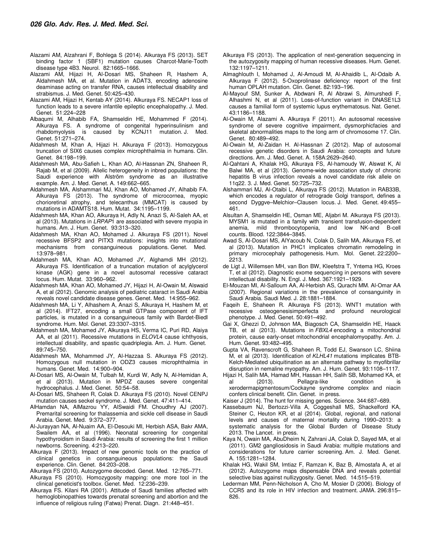- Alazami AM, Alzahrani F, Bohlega S (2014). Alkuraya FS (2013). SET binding factor 1 (SBF1) mutation causes Charcot-Marie-Tooth disease type 4B3. Neurol. 82:1665–1666.
- Alazami AM, Hijazi H, Al-Dosari MS, Shaheen R, Hashem A, Aldahmesh MA, et al. Mutation in ADAT3, encoding adenosine deaminase acting on transfer RNA, causes intellectual disability and strabismus. J. Med. Genet. 50:425–430.
- Alazami AM, Hijazi H, Kentab AY (2014). Alkuraya FS. NECAP1 loss of function leads to a severe infantile epileptic encephalopathy. J. Med. Genet. 51:224–228
- Albaqumi M, Alhabib FA, Shamseldin HE, Mohammed F (2014). Alkuraya FS. A syndrome of congenital hyperinsulinism and rhabdomyolysis is caused by KCNJ11 mutation. J. Med. Genet. 51:271–274.
- Aldahmesh M, Khan A, Hijazi H. Alkuraya F (2013). Homozygous truncation of SIX6 causes complex microphthalmia in humans. Clin. Genet. 84:198–199.
- Aldahmesh MA, Abu-Safieh L, Khan AO, Al-Hassnan ZN, Shaheen R, Rajab M, et al (2009). Allelic heterogeneity in inbred populations: the Saudi experience with Alström syndrome as an illustrative example. Am. J. Med. Genet. A. 149:662–665.
- Aldahmesh MA, Alshammari MJ, Khan AO, Mohamed JY, Alhabib FA. Alkuraya FS (2013). The syndrome of microcornea, myopic chorioretinal atrophy, and telecanthus (MMCAT) is caused by mutations in ADAMTS18. Hum. Mutat. 34:1195–1199.
- Aldahmesh MA, Khan AO, Alkuraya H, Adly N, Anazi S, Al-Saleh AA, et al (2013). Mutations in LRPAP1 are associated with severe myopia in humans. Am. J. Hum. Genet. 93:313–320.
- Aldahmesh MA, Khan AO, Mohamed J. Alkuraya FS (2011). Novel recessive BFSP2 and PITX3 mutations: insights into mutational mechanisms from consanguineous populations. Genet. Med. 13:978–981.
- Aldahmesh MA, Khan AO, Mohamed JY, Alghamdi MH (2012). Alkuraya FS. Identification of a truncation mutation of acylglycerol kinase (AGK) gene in a novel autosomal recessive cataract locus. Hum. Mutat. 33:960–962.
- Aldahmesh MA, Khan AO, Mohamed JY, Hijazi H, Al-Owain M, Alswaid A, et al (2012). Genomic analysis of pediatric cataract in Saudi Arabia reveals novel candidate disease genes. Genet. Med. 14:955–962.
- Aldahmesh MA, Li Y, Alhashem A, Anazi S, Alkuraya H, Hashem M, et al (2014). IFT27, encoding a small GTPase component of IFT particles, is mutated in a consanguineous family with Bardet-Biedl syndrome. Hum. Mol. Genet. 23:3307–3315.
- Aldahmesh MA, Mohamed JY, Alkuraya HS, Verma IC, Puri RD, Alaiya AA, et al (2011). Recessive mutations in ELOVL4 cause ichthyosis, intellectual disability, and spastic quadriplegia. Am. J. Hum. Genet. 89:745–750.
- Aldahmesh MA, Mohammed JY, Al-Hazzaa S. Alkuraya FS (2012). Homozygous null mutation in ODZ3 causes microphthalmia in humans. Genet. Med. 14:900–904.
- Al-Dosari MS, Al-Owain M, Tulbah M, Kurdi W, Adly N, Al-Hemidan A, et al (2013). Mutation in MPDZ causes severe congenital hydrocephalus. J. Med. Genet. 50:54–58.
- Al-Dosari MS, Shaheen R, Colak D. Alkuraya FS (2010). Novel CENPJ mutation causes seckel syndrome. J. Med. Genet. 47:411–414.
- AlHamdan NA, AlMazrou YY, AlSwaidi FM. Choudhry AJ (2007). Premarital screening for thalassemia and sickle cell disease in Saudi Arabia. Genet. Med. 9:372–377.
- Al-Jurayyan NA, Al-Nuaim AA, El-Desouki MI, Herbish ASA, Bakr AMA, Swailem AA, et al (1996). Neonatal screening for congenital hypothyroidism in Saudi Arabia: results of screening the first 1 million newborns. Screening. 4:213–220.
- Alkuraya F (2013). Impact of new genomic tools on the practice of clinical genetics in consanguineous populations: the Saudi experience. Clin. Genet. 84:203–208.
- Alkuraya FS (2010). Autozygome decoded. Genet. Med. 12:765–771.
- Alkuraya FS (2010). Homozygosity mapping: one more tool in the clinical geneticist's toolbox. Genet. Med. 12:236–239.
- Alkuraya FS. Kilani RA (2001). Attitude of Saudi families affected with hemoglobinopathies towards prenatal screening and abortion and the influence of religious ruling (Fatwa) Prenat. Diagn. 21:448–451.
- Alkuraya FS (2013). The application of next-generation sequencing in the autozygosity mapping of human recessive diseases. Hum. Genet. 132:1197–1211.
- Almaghlouth I, Mohamed J, Al-Amoudi M, Al-Ahaidib L, Al-Odaib A. Alkuraya F (2012). 5-Oxoprolinase deficiency: report of the first human OPLAH mutation. Clin. Genet. 82:193–196.
- Al-Mayouf SM, Sunker A, Abdwani R, Al Abrawi S, Almurshedi F, Alhashmi N, et al (2011). Loss-of-function variant in DNASE1L3 causes a familial form of systemic lupus erythematosus. Nat. Genet. 43:1186–1188.
- Al-Owain M, Alazami A. Alkuraya F (2011). An autosomal recessive syndrome of severe cognitive impairment, dysmorphicfacies and skeletal abnormalities maps to the long arm of chromosome 17. Clin. Genet. 80:489–492.
- Al-Owain M, Al-Zaidan H. Al-Hassnan Z (2012). Map of autosomal recessive genetic disorders in Saudi Arabia: concepts and future directions. Am. J. Med. Genet. A. 158A:2629–2640.
- Al-Qahtani A, Khalak HG, Alkuraya FS, Al-hamoudy W, Alswat K, Al Balwi MA, et al (2013). Genome-wide association study of chronic hepatitis B virus infection reveals a novel candidate risk allele on 11q22. 3. J. Med. Genet. 50:725–732.
- Alshammari MJ, Al-Otaibi L, Alkuraya FS (2012). Mutation in RAB33B, which encodes a regulator of retrograde Golgi transport, defines a second Dyggve-Melchior-Clausen locus. J. Med. Genet. 49:455-461.
- Alsultan A, Shamseldin HE, Osman ME, Aljabri M. Alkuraya FS (2013). MYSM1 is mutated in a family with transient transfusion-dependent anemia, mild thrombocytopenia, and low NK-and B-cell counts. Blood. 122:3844–3845.
- Awad S, Al-Dosari MS, AlYacoub N, Colak D, Salih MA, Alkuraya FS, et al (2013). Mutation in PHC1 implicates chromatin remodeling in primary microcephaly pathogenesis. Hum. Mol. Genet. 22:2200– 2213.
- de Ligt J, Willemsen MH, van Bon BW, Kleefstra T, Yntema HG, Kroes T, et al (2012). Diagnostic exome sequencing in persons with severe intellectual disability. N. Engl. J. Med. 367:1921–1929.
- El-Mouzan MI, Al-Salloum AA, Al-Herbish AS, Qurachi MM. Al-Omar AA (2007). Regional variations in the prevalence of consanguinity in Saudi Arabia. Saudi Med. J. 28:1881–1884.
- Faqeih E, Shaheen R. Alkuraya FS (2013). WNT1 mutation with recessive osteogenesisimperfecta and profound neurological phenotype. J. Med. Genet. 50:491–492.
- Gai X, Ghezzi D, Johnson MA, Biagosch CA, Shamseldin HE, Haack TB, et al (2013). Mutations in FBXL4 encoding a mitochondrial protein, cause early-onset mitochondrial encephalomyopathy. Am. J. Hum. Genet. 93:482–495.
- Gupta VA, Ravenscroft G, Shaheen R, Todd EJ, Swanson LC, Shiina M, et al (2013). Identification of KLHL41 mutations implicates BTB-Kelch-Mediated ubiquitination as an alternate pathway to myofibrillar disruption in nemaline myopathy. Am. J. Hum. Genet. 93:1108–1117.
- Hijazi H, Salih MA, Hamad MH, Hassan HH, Salih SB, Mohamed KA, et al (2013). Pellagra-like condition is xerodermapigmentosum/Cockayne syndrome complex and niacin confers clinical benefit. Clin. Genet. in press.
- Kaiser J (2014). The hunt for missing genes. Science. 344:687–689.
- Kassebaum NJ, Bertozzi-Villa A, Coggeshall MS, Shackelford KA, Steiner C, Heuton KR, et al (2014). Global, regional, and national levels and causes of maternal mortality during 1990–2013: a systematic analysis for the Global Burden of Disease Study 2013. The Lancet. in press.
- Kaya N, Owain MA, AbuDheim N, Zahrani JA, Colak D, Sayed MA, et al (2011). GM2 gangliosidosis in Saudi Arabia: multiple mutations and considerations for future carrier screening. Am. J. Med. Genet. A. 155:1281–1284.
- Khalak HG, Wakil SM, Imtiaz F, Ramzan K, Baz B, Almostafa A, et al (2012). Autozygome maps dispensable DNA and reveals potential selective bias against nullizygosity. Genet. Med. 14:515–519.
- Lederman MM, Penn-Nicholson A, Cho M, Mosier D (2006). Biology of CCR5 and its role in HIV infection and treatment. JAMA. 296:815– 826.